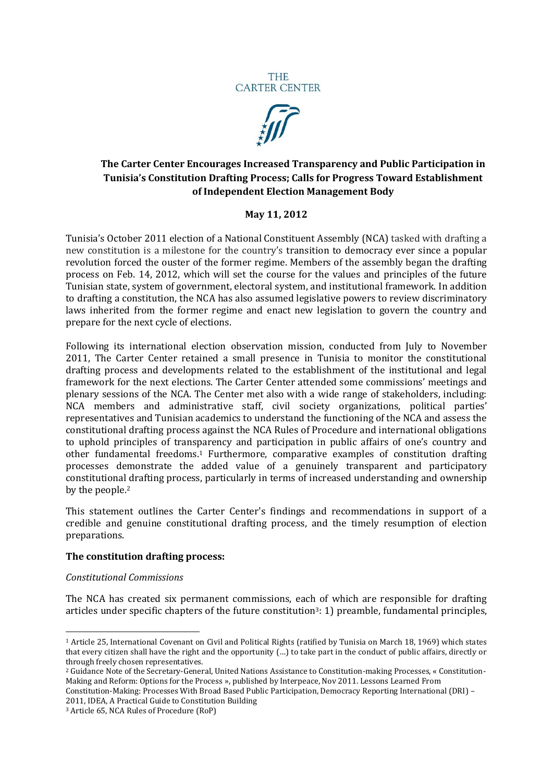



# **The Carter Center Encourages Increased Transparency and Public Participation in Tunisia's Constitution Drafting Process; Calls for Progress Toward Establishment of Independent Election Management Body**

# **May 11, 2012**

Tunisia's October 2011 election of a National Constituent Assembly (NCA) tasked with drafting a new constitution is a milestone for the country's transition to democracy ever since a popular revolution forced the ouster of the former regime. Members of the assembly began the drafting process on Feb. 14, 2012, which will set the course for the values and principles of the future Tunisian state, system of government, electoral system, and institutional framework. In addition to drafting a constitution, the NCA has also assumed legislative powers to review discriminatory laws inherited from the former regime and enact new legislation to govern the country and prepare for the next cycle of elections.

Following its international election observation mission, conducted from July to November 2011, The Carter Center retained a small presence in Tunisia to monitor the constitutional drafting process and developments related to the establishment of the institutional and legal framework for the next elections. The Carter Center attended some commissions' meetings and plenary sessions of the NCA. The Center met also with a wide range of stakeholders, including: NCA members and administrative staff, civil society organizations, political parties' representatives and Tunisian academics to understand the functioning of the NCA and assess the constitutional drafting process against the NCA Rules of Procedure and international obligations to uphold principles of transparency and participation in public affairs of one's country and other fundamental freedoms.<sup>1</sup> Furthermore, comparative examples of constitution drafting processes demonstrate the added value of a genuinely transparent and participatory constitutional drafting process, particularly in terms of increased understanding and ownership by the people.<sup>2</sup>

This statement outlines the Carter Center's findings and recommendations in support of a credible and genuine constitutional drafting process, and the timely resumption of election preparations.

#### **The constitution drafting process:**

#### *Constitutional Commissions*

1

The NCA has created six permanent commissions, each of which are responsible for drafting articles under specific chapters of the future constitution3: 1) preamble, fundamental principles,

Constitution-Making: Processes With Broad Based Public Participation, Democracy Reporting International (DRI) – 2011, IDEA, A Practical Guide to Constitution Building

<sup>1</sup> Article 25, International Covenant on Civil and Political Rights (ratified by Tunisia on March 18, 1969) which states that every citizen shall have the right and the opportunity (…) to take part in the conduct of public affairs, directly or through freely chosen representatives.

<sup>2</sup> Guidance Note of the Secretary-General, United Nations Assistance to Constitution-making Processes, « Constitution-Making and Reform: Options for the Process », published by Interpeace, Nov 2011. Lessons Learned From

<sup>3</sup> Article 65, NCA Rules of Procedure (RoP)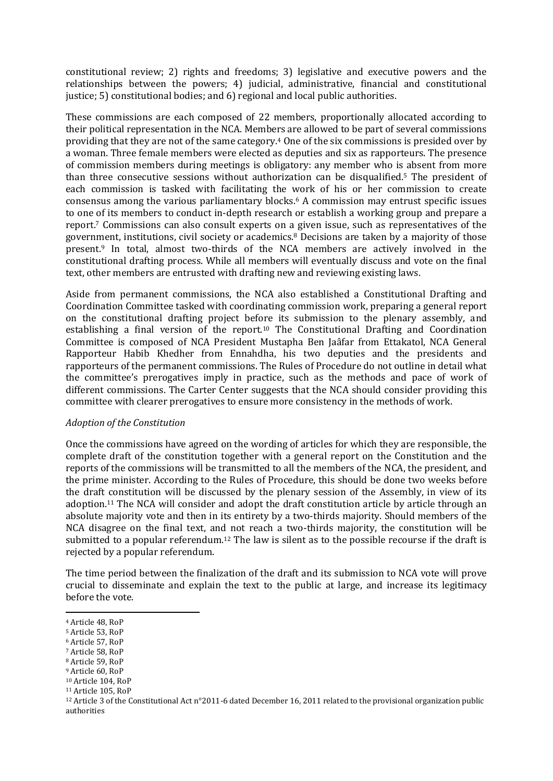constitutional review; 2) rights and freedoms; 3) legislative and executive powers and the relationships between the powers; 4) judicial, administrative, financial and constitutional justice; 5) constitutional bodies; and 6) regional and local public authorities.

These commissions are each composed of 22 members, proportionally allocated according to their political representation in the NCA. Members are allowed to be part of several commissions providing that they are not of the same category.<sup>4</sup> One of the six commissions is presided over by a woman. Three female members were elected as deputies and six as rapporteurs. The presence of commission members during meetings is obligatory: any member who is absent from more than three consecutive sessions without authorization can be disqualified.<sup>5</sup> The president of each commission is tasked with facilitating the work of his or her commission to create consensus among the various parliamentary blocks.<sup>6</sup> A commission may entrust specific issues to one of its members to conduct in-depth research or establish a working group and prepare a report.<sup>7</sup> Commissions can also consult experts on a given issue, such as representatives of the government, institutions, civil society or academics.<sup>8</sup> Decisions are taken by a majority of those present.<sup>9</sup> In total, almost two-thirds of the NCA members are actively involved in the constitutional drafting process. While all members will eventually discuss and vote on the final text, other members are entrusted with drafting new and reviewing existing laws.

Aside from permanent commissions, the NCA also established a Constitutional Drafting and Coordination Committee tasked with coordinating commission work, preparing a general report on the constitutional drafting project before its submission to the plenary assembly, and establishing a final version of the report.<sup>10</sup> The Constitutional Drafting and Coordination Committee is composed of NCA President Mustapha Ben Jaâfar from Ettakatol, NCA General Rapporteur Habib Khedher from Ennahdha, his two deputies and the presidents and rapporteurs of the permanent commissions. The Rules of Procedure do not outline in detail what the committee's prerogatives imply in practice, such as the methods and pace of work of different commissions. The Carter Center suggests that the NCA should consider providing this committee with clearer prerogatives to ensure more consistency in the methods of work.

#### *Adoption of the Constitution*

Once the commissions have agreed on the wording of articles for which they are responsible, the complete draft of the constitution together with a general report on the Constitution and the reports of the commissions will be transmitted to all the members of the NCA, the president, and the prime minister. According to the Rules of Procedure, this should be done two weeks before the draft constitution will be discussed by the plenary session of the Assembly, in view of its adoption.<sup>11</sup> The NCA will consider and adopt the draft constitution article by article through an absolute majority vote and then in its entirety by a two-thirds majority. Should members of the NCA disagree on the final text, and not reach a two-thirds majority, the constitution will be submitted to a popular referendum.<sup>12</sup> The law is silent as to the possible recourse if the draft is rejected by a popular referendum.

The time period between the finalization of the draft and its submission to NCA vote will prove crucial to disseminate and explain the text to the public at large, and increase its legitimacy before the vote.

**.** 

<sup>8</sup> Article 59, RoP

<sup>4</sup> Article 48, RoP

<sup>5</sup> Article 53, RoP

<sup>6</sup> Article 57, RoP

<sup>7</sup> Article 58, RoP

<sup>9</sup> Article 60, RoP

<sup>10</sup> Article 104, RoP

<sup>11</sup> Article 105, RoP

<sup>12</sup> Article 3 of the Constitutional Act n°2011-6 dated December 16, 2011 related to the provisional organization public authorities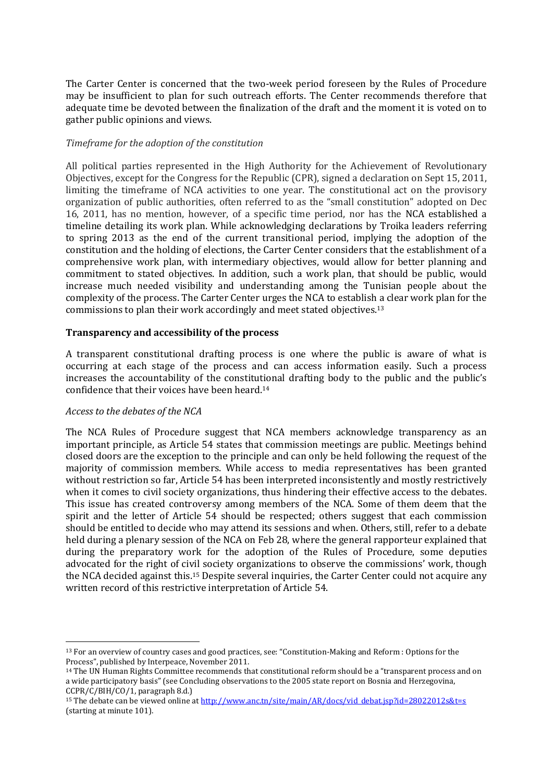The Carter Center is concerned that the two-week period foreseen by the Rules of Procedure may be insufficient to plan for such outreach efforts. The Center recommends therefore that adequate time be devoted between the finalization of the draft and the moment it is voted on to gather public opinions and views.

#### *Timeframe for the adoption of the constitution*

All political parties represented in the High Authority for the Achievement of Revolutionary Objectives, except for the Congress for the Republic (CPR), signed a declaration on Sept 15, 2011, limiting the timeframe of NCA activities to one year. The constitutional act on the provisory organization of public authorities, often referred to as the "small constitution" adopted on Dec 16, 2011, has no mention, however, of a specific time period, nor has the NCA established a timeline detailing its work plan. While acknowledging declarations by Troika leaders referring to spring 2013 as the end of the current transitional period, implying the adoption of the constitution and the holding of elections, the Carter Center considers that the establishment of a comprehensive work plan, with intermediary objectives, would allow for better planning and commitment to stated objectives. In addition, such a work plan, that should be public, would increase much needed visibility and understanding among the Tunisian people about the complexity of the process. The Carter Center urges the NCA to establish a clear work plan for the commissions to plan their work accordingly and meet stated objectives.<sup>13</sup>

### **Transparency and accessibility of the process**

A transparent constitutional drafting process is one where the public is aware of what is occurring at each stage of the process and can access information easily. Such a process increases the accountability of the constitutional drafting body to the public and the public's confidence that their voices have been heard.<sup>14</sup>

#### *Access to the debates of the NCA*

The NCA Rules of Procedure suggest that NCA members acknowledge transparency as an important principle, as Article 54 states that commission meetings are public. Meetings behind closed doors are the exception to the principle and can only be held following the request of the majority of commission members. While access to media representatives has been granted without restriction so far, Article 54 has been interpreted inconsistently and mostly restrictively when it comes to civil society organizations, thus hindering their effective access to the debates. This issue has created controversy among members of the NCA. Some of them deem that the spirit and the letter of Article 54 should be respected; others suggest that each commission should be entitled to decide who may attend its sessions and when. Others, still, refer to a debate held during a plenary session of the NCA on Feb 28, where the general rapporteur explained that during the preparatory work for the adoption of the Rules of Procedure, some deputies advocated for the right of civil society organizations to observe the commissions' work, though the NCA decided against this.<sup>15</sup> Despite several inquiries, the Carter Center could not acquire any written record of this restrictive interpretation of Article 54.

<sup>1</sup> <sup>13</sup> For an overview of country cases and good practices, see: "Constitution-Making and Reform : Options for the Process", published by Interpeace, November 2011.

<sup>14</sup> The UN Human Rights Committee recommends that constitutional reform should be a "transparent process and on a wide participatory basis" (see Concluding observations to the 2005 state report on Bosnia and Herzegovina, CCPR/C/BIH/CO/1, paragraph 8.d.)

<sup>&</sup>lt;sup>15</sup> The debate can be viewed online a[t http://www.anc.tn/site/main/AR/docs/vid\\_debat.jsp?id=28022012s&t=s](http://www.anc.tn/site/main/AR/docs/vid_debat.jsp?id=28022012s&t=s) (starting at minute 101).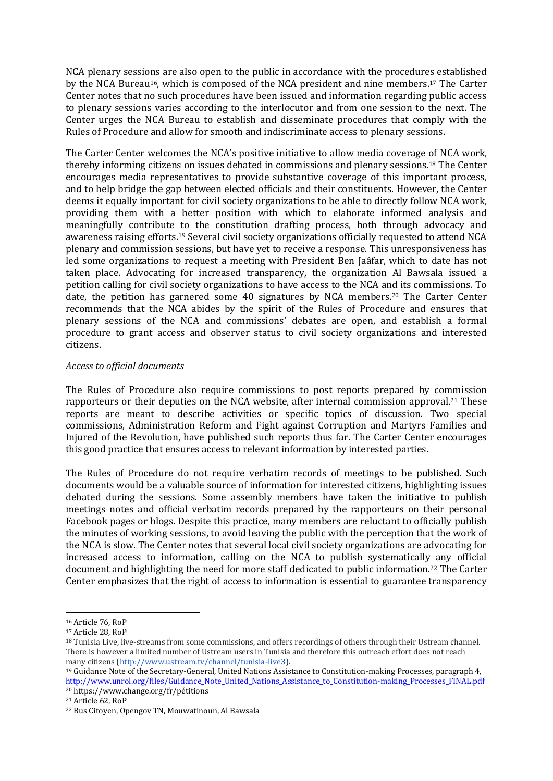NCA plenary sessions are also open to the public in accordance with the procedures established by the NCA Bureau16, which is composed of the NCA president and nine members.<sup>17</sup> The Carter Center notes that no such procedures have been issued and information regarding public access to plenary sessions varies according to the interlocutor and from one session to the next. The Center urges the NCA Bureau to establish and disseminate procedures that comply with the Rules of Procedure and allow for smooth and indiscriminate access to plenary sessions.

The Carter Center welcomes the NCA's positive initiative to allow media coverage of NCA work, thereby informing citizens on issues debated in commissions and plenary sessions.<sup>18</sup> The Center encourages media representatives to provide substantive coverage of this important process, and to help bridge the gap between elected officials and their constituents. However, the Center deems it equally important for civil society organizations to be able to directly follow NCA work, providing them with a better position with which to elaborate informed analysis and meaningfully contribute to the constitution drafting process, both through advocacy and awareness raising efforts.<sup>19</sup> Several civil society organizations officially requested to attend NCA plenary and commission sessions, but have yet to receive a response. This unresponsiveness has led some organizations to request a meeting with President Ben Jaâfar, which to date has not taken place. Advocating for increased transparency, the organization Al Bawsala issued a petition calling for civil society organizations to have access to the NCA and its commissions. To date, the petition has garnered some 40 signatures by NCA members.<sup>20</sup> The Carter Center recommends that the NCA abides by the spirit of the Rules of Procedure and ensures that plenary sessions of the NCA and commissions' debates are open, and establish a formal procedure to grant access and observer status to civil society organizations and interested citizens.

#### *Access to official documents*

The Rules of Procedure also require commissions to post reports prepared by commission rapporteurs or their deputies on the NCA website, after internal commission approval.<sup>21</sup> These reports are meant to describe activities or specific topics of discussion. Two special commissions, Administration Reform and Fight against Corruption and Martyrs Families and Injured of the Revolution, have published such reports thus far. The Carter Center encourages this good practice that ensures access to relevant information by interested parties.

The Rules of Procedure do not require verbatim records of meetings to be published. Such documents would be a valuable source of information for interested citizens, highlighting issues debated during the sessions. Some assembly members have taken the initiative to publish meetings notes and official verbatim records prepared by the rapporteurs on their personal Facebook pages or blogs. Despite this practice, many members are reluctant to officially publish the minutes of working sessions, to avoid leaving the public with the perception that the work of the NCA is slow. The Center notes that several local civil society organizations are advocating for increased access to information, calling on the NCA to publish systematically any official document and highlighting the need for more staff dedicated to public information.<sup>22</sup> The Carter Center emphasizes that the right of access to information is essential to guarantee transparency

**.** 

<sup>16</sup> Article 76, RoP

<sup>17</sup> Article 28, RoP

<sup>18</sup> Tunisia Live, live-streams from some commissions, and offers recordings of others through their Ustream channel. There is however a limited number of Ustream users in Tunisia and therefore this outreach effort does not reach many citizens [\(http://www.ustream.tv/channel/tunisia-live3\)](http://www.ustream.tv/channel/tunisia-live3).

<sup>19</sup> Guidance Note of the Secretary-General, United Nations Assistance to Constitution-making Processes, paragraph 4, [http://www.unrol.org/files/Guidance\\_Note\\_United\\_Nations\\_Assistance\\_to\\_Constitution-making\\_Processes\\_FINAL.pdf](http://www.unrol.org/files/Guidance_Note_United_Nations_Assistance_to_Constitution-making_Processes_FINAL.pdf) <sup>20</sup> https://www.change.org/fr/pétitions

<sup>21</sup> Article 62, RoP

<sup>22</sup> Bus Citoyen, Opengov TN, Mouwatinoun, Al Bawsala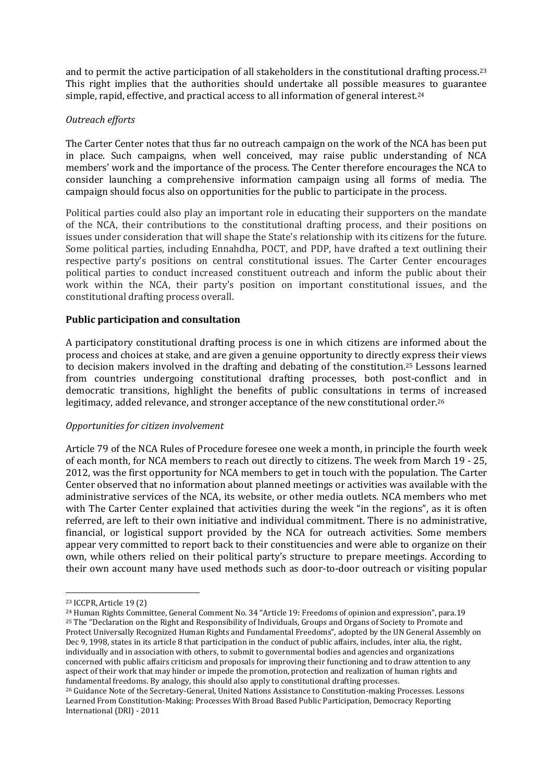and to permit the active participation of all stakeholders in the constitutional drafting process.<sup>23</sup> This right implies that the authorities should undertake all possible measures to guarantee simple, rapid, effective, and practical access to all information of general interest.<sup>24</sup>

### *Outreach efforts*

The Carter Center notes that thus far no outreach campaign on the work of the NCA has been put in place. Such campaigns, when well conceived, may raise public understanding of NCA members' work and the importance of the process. The Center therefore encourages the NCA to consider launching a comprehensive information campaign using all forms of media. The campaign should focus also on opportunities for the public to participate in the process.

Political parties could also play an important role in educating their supporters on the mandate of the NCA, their contributions to the constitutional drafting process, and their positions on issues under consideration that will shape the State's relationship with its citizens for the future. Some political parties, including Ennahdha, POCT, and PDP, have drafted a text outlining their respective party's positions on central constitutional issues. The Carter Center encourages political parties to conduct increased constituent outreach and inform the public about their work within the NCA, their party's position on important constitutional issues, and the constitutional drafting process overall.

# **Public participation and consultation**

A participatory constitutional drafting process is one in which citizens are informed about the process and choices at stake, and are given a genuine opportunity to directly express their views to decision makers involved in the drafting and debating of the constitution.<sup>25</sup> Lessons learned from countries undergoing constitutional drafting processes, both post-conflict and in democratic transitions, highlight the benefits of public consultations in terms of increased legitimacy, added relevance, and stronger acceptance of the new constitutional order.<sup>26</sup>

#### *Opportunities for citizen involvement*

Article 79 of the NCA Rules of Procedure foresee one week a month, in principle the fourth week of each month, for NCA members to reach out directly to citizens. The week from March 19 - 25, 2012, was the first opportunity for NCA members to get in touch with the population. The Carter Center observed that no information about planned meetings or activities was available with the administrative services of the NCA, its website, or other media outlets. NCA members who met with The Carter Center explained that activities during the week "in the regions", as it is often referred, are left to their own initiative and individual commitment. There is no administrative, financial, or logistical support provided by the NCA for outreach activities. Some members appear very committed to report back to their constituencies and were able to organize on their own, while others relied on their political party's structure to prepare meetings. According to their own account many have used methods such as door-to-door outreach or visiting popular

 $\overline{a}$ 

<sup>23</sup> ICCPR, Article 19 (2)

<sup>24</sup> Human Rights Committee, General Comment No. 34 "Article 19: Freedoms of opinion and expression", para.19 <sup>25</sup> The "Declaration on the Right and Responsibility of Individuals, Groups and Organs of Society to Promote and Protect Universally Recognized Human Rights and Fundamental Freedoms", adopted by the UN General Assembly on Dec 9, 1998, states in its article 8 that participation in the conduct of public affairs, includes, inter alia, the right, individually and in association with others, to submit to governmental bodies and agencies and organizations concerned with public affairs criticism and proposals for improving their functioning and to draw attention to any aspect of their work that may hinder or impede the promotion, protection and realization of human rights and fundamental freedoms. By analogy, this should also apply to constitutional drafting processes.

<sup>26</sup> Guidance Note of the Secretary-General, United Nations Assistance to Constitution-making Processes. Lessons Learned From Constitution-Making: Processes With Broad Based Public Participation, Democracy Reporting International (DRI) - 2011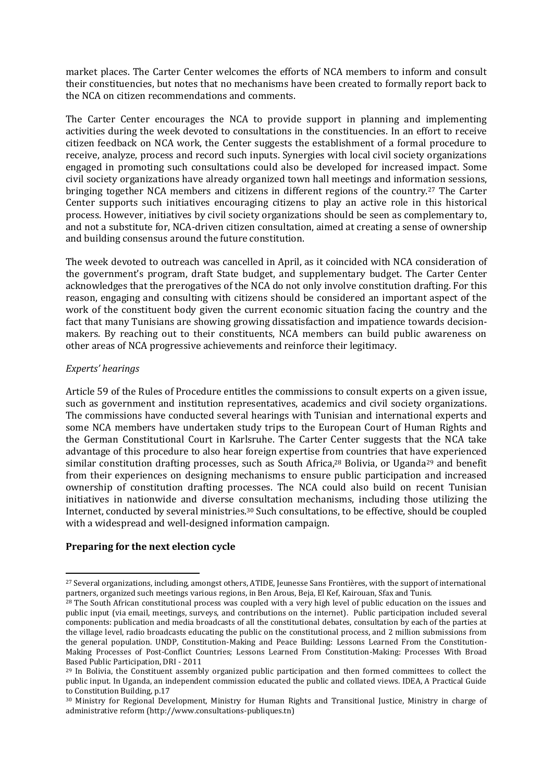market places. The Carter Center welcomes the efforts of NCA members to inform and consult their constituencies, but notes that no mechanisms have been created to formally report back to the NCA on citizen recommendations and comments.

The Carter Center encourages the NCA to provide support in planning and implementing activities during the week devoted to consultations in the constituencies. In an effort to receive citizen feedback on NCA work, the Center suggests the establishment of a formal procedure to receive, analyze, process and record such inputs. Synergies with local civil society organizations engaged in promoting such consultations could also be developed for increased impact. Some civil society organizations have already organized town hall meetings and information sessions, bringing together NCA members and citizens in different regions of the country.<sup>27</sup> The Carter Center supports such initiatives encouraging citizens to play an active role in this historical process. However, initiatives by civil society organizations should be seen as complementary to, and not a substitute for, NCA-driven citizen consultation, aimed at creating a sense of ownership and building consensus around the future constitution.

The week devoted to outreach was cancelled in April, as it coincided with NCA consideration of the government's program, draft State budget, and supplementary budget. The Carter Center acknowledges that the prerogatives of the NCA do not only involve constitution drafting. For this reason, engaging and consulting with citizens should be considered an important aspect of the work of the constituent body given the current economic situation facing the country and the fact that many Tunisians are showing growing dissatisfaction and impatience towards decisionmakers. By reaching out to their constituents, NCA members can build public awareness on other areas of NCA progressive achievements and reinforce their legitimacy.

### *Experts' hearings*

 $\overline{a}$ 

Article 59 of the Rules of Procedure entitles the commissions to consult experts on a given issue, such as government and institution representatives, academics and civil society organizations. The commissions have conducted several hearings with Tunisian and international experts and some NCA members have undertaken study trips to the European Court of Human Rights and the German Constitutional Court in Karlsruhe. The Carter Center suggests that the NCA take advantage of this procedure to also hear foreign expertise from countries that have experienced similar constitution drafting processes, such as South Africa,<sup>28</sup> Bolivia, or Uganda<sup>29</sup> and benefit from their experiences on designing mechanisms to ensure public participation and increased ownership of constitution drafting processes. The NCA could also build on recent Tunisian initiatives in nationwide and diverse consultation mechanisms, including those utilizing the Internet, conducted by several ministries.<sup>30</sup> Such consultations, to be effective, should be coupled with a widespread and well-designed information campaign.

#### **Preparing for the next election cycle**

<sup>27</sup> Several organizations, including, amongst others, ATIDE, Jeunesse Sans Frontières, with the support of international partners, organized such meetings various regions, in Ben Arous, Beja, El Kef, Kairouan, Sfax and Tunis.

<sup>&</sup>lt;sup>28</sup> The South African constitutional process was coupled with a very high level of public education on the issues and public input (via email, meetings, surveys, and contributions on the internet). Public participation included several components: publication and media broadcasts of all the constitutional debates, consultation by each of the parties at the village level, radio broadcasts educating the public on the constitutional process, and 2 million submissions from the general population. UNDP, Constitution-Making and Peace Building: Lessons Learned From the Constitution-Making Processes of Post-Conflict Countries; Lessons Learned From Constitution-Making: Processes With Broad Based Public Participation, DRI - 2011

<sup>&</sup>lt;sup>29</sup> In Bolivia, the Constituent assembly organized public participation and then formed committees to collect the public input. In Uganda, an independent commission educated the public and collated views. IDEA, A Practical Guide to Constitution Building, p.17

<sup>30</sup> Ministry for Regional Development, Ministry for Human Rights and Transitional Justice, Ministry in charge of administrative reform (http://www.consultations-publiques.tn)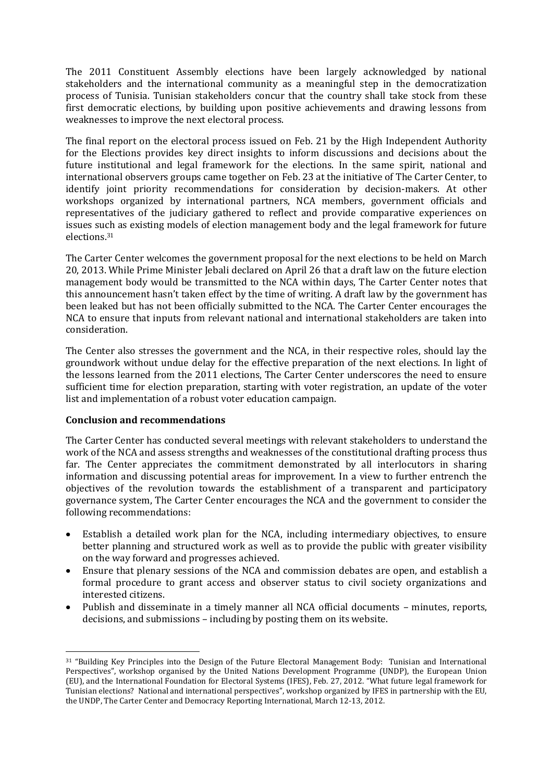The 2011 Constituent Assembly elections have been largely acknowledged by national stakeholders and the international community as a meaningful step in the democratization process of Tunisia. Tunisian stakeholders concur that the country shall take stock from these first democratic elections, by building upon positive achievements and drawing lessons from weaknesses to improve the next electoral process.

The final report on the electoral process issued on Feb. 21 by the High Independent Authority for the Elections provides key direct insights to inform discussions and decisions about the future institutional and legal framework for the elections. In the same spirit, national and international observers groups came together on Feb. 23 at the initiative of The Carter Center, to identify joint priority recommendations for consideration by decision-makers. At other workshops organized by international partners, NCA members, government officials and representatives of the judiciary gathered to reflect and provide comparative experiences on issues such as existing models of election management body and the legal framework for future elections.<sup>31</sup>

The Carter Center welcomes the government proposal for the next elections to be held on March 20, 2013. While Prime Minister Jebali declared on April 26 that a draft law on the future election management body would be transmitted to the NCA within days, The Carter Center notes that this announcement hasn't taken effect by the time of writing. A draft law by the government has been leaked but has not been officially submitted to the NCA. The Carter Center encourages the NCA to ensure that inputs from relevant national and international stakeholders are taken into consideration.

The Center also stresses the government and the NCA, in their respective roles, should lay the groundwork without undue delay for the effective preparation of the next elections. In light of the lessons learned from the 2011 elections, The Carter Center underscores the need to ensure sufficient time for election preparation, starting with voter registration, an update of the voter list and implementation of a robust voter education campaign.

# **Conclusion and recommendations**

The Carter Center has conducted several meetings with relevant stakeholders to understand the work of the NCA and assess strengths and weaknesses of the constitutional drafting process thus far. The Center appreciates the commitment demonstrated by all interlocutors in sharing information and discussing potential areas for improvement. In a view to further entrench the objectives of the revolution towards the establishment of a transparent and participatory governance system, The Carter Center encourages the NCA and the government to consider the following recommendations:

- Establish a detailed work plan for the NCA, including intermediary objectives, to ensure better planning and structured work as well as to provide the public with greater visibility on the way forward and progresses achieved.
- Ensure that plenary sessions of the NCA and commission debates are open, and establish a formal procedure to grant access and observer status to civil society organizations and interested citizens.
- Publish and disseminate in a timely manner all NCA official documents minutes, reports, decisions, and submissions – including by posting them on its website.

 $\overline{a}$ <sup>31</sup> "Building Key Principles into the Design of the Future Electoral Management Body: Tunisian and International Perspectives", workshop organised by the United Nations Development Programme (UNDP), the European Union (EU), and the International Foundation for Electoral Systems (IFES), Feb. 27, 2012. "What future legal framework for Tunisian elections? National and international perspectives", workshop organized by IFES in partnership with the EU, the UNDP, The Carter Center and Democracy Reporting International, March 12-13, 2012.